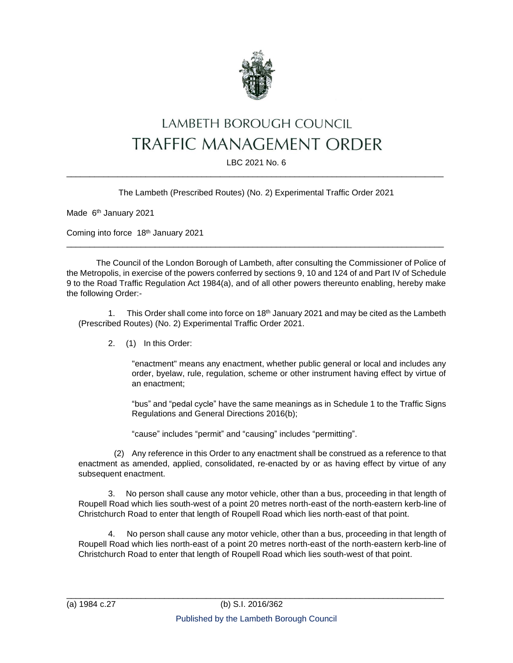

# LAMBETH BOROUGH COUNCIL TRAFFIC MANAGEMENT ORDER

#### LBC 2021 No. 6 \_\_\_\_\_\_\_\_\_\_\_\_\_\_\_\_\_\_\_\_\_\_\_\_\_\_\_\_\_\_\_\_\_\_\_\_\_\_\_\_\_\_\_\_\_\_\_\_\_\_\_\_\_\_\_\_\_\_\_\_\_\_\_\_\_\_\_\_\_\_\_\_\_\_\_\_\_\_\_\_\_

The Lambeth (Prescribed Routes) (No. 2) Experimental Traffic Order 2021

Made 6<sup>th</sup> January 2021

Coming into force 18th January 2021

The Council of the London Borough of Lambeth, after consulting the Commissioner of Police of the Metropolis, in exercise of the powers conferred by sections 9, 10 and 124 of and Part IV of Schedule 9 to the Road Traffic Regulation Act 1984(a), and of all other powers thereunto enabling, hereby make the following Order:-

\_\_\_\_\_\_\_\_\_\_\_\_\_\_\_\_\_\_\_\_\_\_\_\_\_\_\_\_\_\_\_\_\_\_\_\_\_\_\_\_\_\_\_\_\_\_\_\_\_\_\_\_\_\_\_\_\_\_\_\_\_\_\_\_\_\_\_\_\_\_\_\_\_\_\_\_\_\_\_\_\_

1. This Order shall come into force on 18<sup>th</sup> January 2021 and may be cited as the Lambeth (Prescribed Routes) (No. 2) Experimental Traffic Order 2021.

2. (1) In this Order:

"enactment" means any enactment, whether public general or local and includes any order, byelaw, rule, regulation, scheme or other instrument having effect by virtue of an enactment;

"bus" and "pedal cycle" have the same meanings as in Schedule 1 to the Traffic Signs Regulations and General Directions 2016(b);

"cause" includes "permit" and "causing" includes "permitting".

(2) Any reference in this Order to any enactment shall be construed as a reference to that enactment as amended, applied, consolidated, re-enacted by or as having effect by virtue of any subsequent enactment.

3. No person shall cause any motor vehicle, other than a bus, proceeding in that length of Roupell Road which lies south-west of a point 20 metres north-east of the north-eastern kerb-line of Christchurch Road to enter that length of Roupell Road which lies north-east of that point.

4. No person shall cause any motor vehicle, other than a bus, proceeding in that length of Roupell Road which lies north-east of a point 20 metres north-east of the north-eastern kerb-line of Christchurch Road to enter that length of Roupell Road which lies south-west of that point.

\_\_\_\_\_\_\_\_\_\_\_\_\_\_\_\_\_\_\_\_\_\_\_\_\_\_\_\_\_\_\_\_\_\_\_\_\_\_\_\_\_\_\_\_\_\_\_\_\_\_\_\_\_\_\_\_\_\_\_\_\_\_\_\_\_\_\_\_\_\_\_\_\_\_\_\_\_\_\_\_\_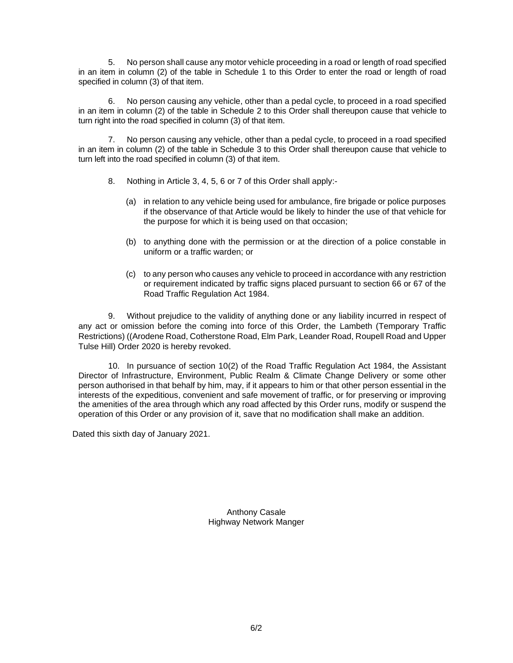5. No person shall cause any motor vehicle proceeding in a road or length of road specified in an item in column (2) of the table in Schedule 1 to this Order to enter the road or length of road specified in column (3) of that item.

No person causing any vehicle, other than a pedal cycle, to proceed in a road specified in an item in column (2) of the table in Schedule 2 to this Order shall thereupon cause that vehicle to turn right into the road specified in column (3) of that item.

7. No person causing any vehicle, other than a pedal cycle, to proceed in a road specified in an item in column (2) of the table in Schedule 3 to this Order shall thereupon cause that vehicle to turn left into the road specified in column (3) of that item.

- 8. Nothing in Article 3, 4, 5, 6 or 7 of this Order shall apply:-
	- (a) in relation to any vehicle being used for ambulance, fire brigade or police purposes if the observance of that Article would be likely to hinder the use of that vehicle for the purpose for which it is being used on that occasion;
	- (b) to anything done with the permission or at the direction of a police constable in uniform or a traffic warden; or
	- (c) to any person who causes any vehicle to proceed in accordance with any restriction or requirement indicated by traffic signs placed pursuant to section 66 or 67 of the Road Traffic Regulation Act 1984.

9. Without prejudice to the validity of anything done or any liability incurred in respect of any act or omission before the coming into force of this Order, the Lambeth (Temporary Traffic Restrictions) ((Arodene Road, Cotherstone Road, Elm Park, Leander Road, Roupell Road and Upper Tulse Hill) Order 2020 is hereby revoked.

10. In pursuance of section 10(2) of the Road Traffic Regulation Act 1984, the Assistant Director of Infrastructure, Environment, Public Realm & Climate Change Delivery or some other person authorised in that behalf by him, may, if it appears to him or that other person essential in the interests of the expeditious, convenient and safe movement of traffic, or for preserving or improving the amenities of the area through which any road affected by this Order runs, modify or suspend the operation of this Order or any provision of it, save that no modification shall make an addition.

Dated this sixth day of January 2021.

Anthony Casale Highway Network Manger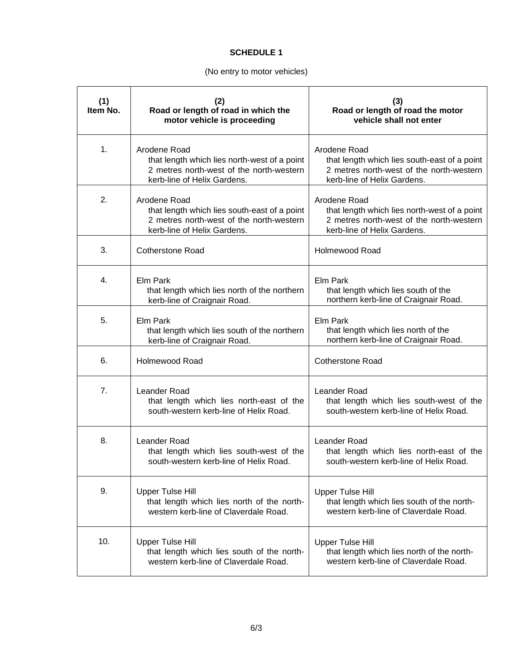#### **SCHEDULE 1**

# (No entry to motor vehicles)

| (1)<br>Item No. | (2)<br>Road or length of road in which the<br>motor vehicle is proceeding                                                               | (3)<br>Road or length of road the motor<br>vehicle shall not enter                                                                      |
|-----------------|-----------------------------------------------------------------------------------------------------------------------------------------|-----------------------------------------------------------------------------------------------------------------------------------------|
| 1.              | Arodene Road<br>that length which lies north-west of a point<br>2 metres north-west of the north-western<br>kerb-line of Helix Gardens. | Arodene Road<br>that length which lies south-east of a point<br>2 metres north-west of the north-western<br>kerb-line of Helix Gardens. |
| 2.              | Arodene Road<br>that length which lies south-east of a point<br>2 metres north-west of the north-western<br>kerb-line of Helix Gardens. | Arodene Road<br>that length which lies north-west of a point<br>2 metres north-west of the north-western<br>kerb-line of Helix Gardens. |
| 3.              | <b>Cotherstone Road</b>                                                                                                                 | <b>Holmewood Road</b>                                                                                                                   |
| 4.              | Elm Park<br>that length which lies north of the northern<br>kerb-line of Craignair Road.                                                | Elm Park<br>that length which lies south of the<br>northern kerb-line of Craignair Road.                                                |
| 5.              | Elm Park<br>that length which lies south of the northern<br>kerb-line of Craignair Road.                                                | Elm Park<br>that length which lies north of the<br>northern kerb-line of Craignair Road.                                                |
| 6.              | Holmewood Road                                                                                                                          | <b>Cotherstone Road</b>                                                                                                                 |
| 7.              | Leander Road<br>that length which lies north-east of the<br>south-western kerb-line of Helix Road.                                      | Leander Road<br>that length which lies south-west of the<br>south-western kerb-line of Helix Road.                                      |
| 8.              | Leander Road<br>that length which lies south-west of the<br>south-western kerb-line of Helix Road.                                      | <b>Leander Road</b><br>that length which lies north-east of the<br>south-western kerb-line of Helix Road.                               |
| 9.              | <b>Upper Tulse Hill</b><br>that length which lies north of the north-<br>western kerb-line of Claverdale Road.                          | Upper Tulse Hill<br>that length which lies south of the north-<br>western kerb-line of Claverdale Road.                                 |
| 10.             | <b>Upper Tulse Hill</b><br>that length which lies south of the north-<br>western kerb-line of Claverdale Road.                          | <b>Upper Tulse Hill</b><br>that length which lies north of the north-<br>western kerb-line of Claverdale Road.                          |